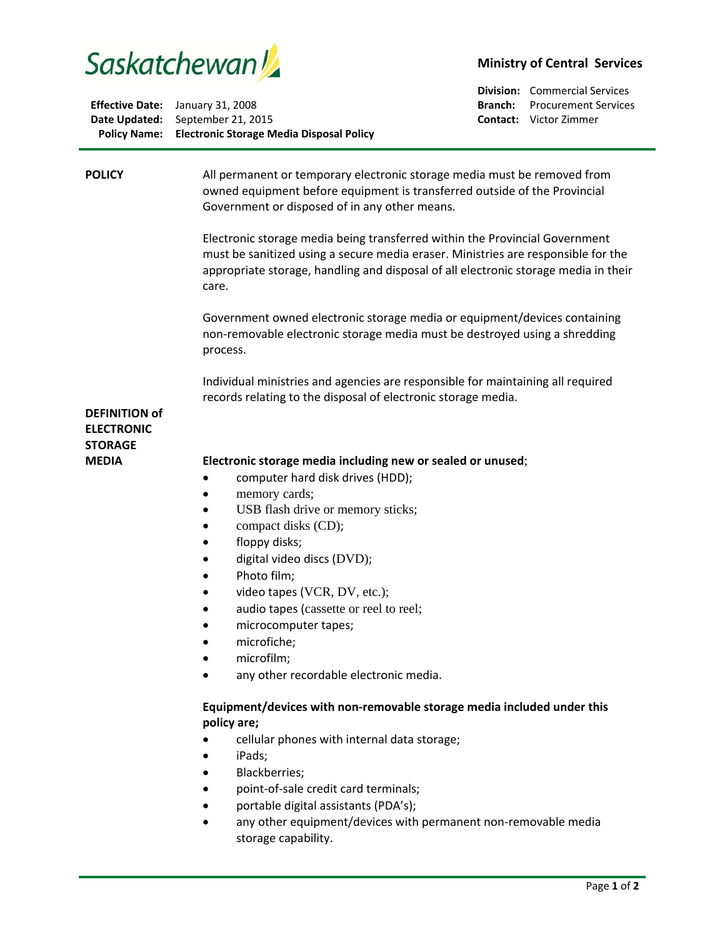

| <b>Policy Name:</b> Electronic Storage Media Disposal Policy |
|--------------------------------------------------------------|
| Date Updated: September 21, 2015                             |
| <b>Effective Date:</b> January 31, 2008                      |

## **Ministry of Central Services**

**Division:** Commercial Services **Branch:** Procurement Services **Contact:** Victor Zimmer

| <b>POLICY</b>                       | All permanent or temporary electronic storage media must be removed from<br>owned equipment before equipment is transferred outside of the Provincial<br>Government or disposed of in any other means.<br>Electronic storage media being transferred within the Provincial Government<br>must be sanitized using a secure media eraser. Ministries are responsible for the<br>appropriate storage, handling and disposal of all electronic storage media in their<br>care.<br>Government owned electronic storage media or equipment/devices containing<br>non-removable electronic storage media must be destroyed using a shredding<br>process. |
|-------------------------------------|---------------------------------------------------------------------------------------------------------------------------------------------------------------------------------------------------------------------------------------------------------------------------------------------------------------------------------------------------------------------------------------------------------------------------------------------------------------------------------------------------------------------------------------------------------------------------------------------------------------------------------------------------|
| <b>DEFINITION of</b>                | Individual ministries and agencies are responsible for maintaining all required<br>records relating to the disposal of electronic storage media.                                                                                                                                                                                                                                                                                                                                                                                                                                                                                                  |
| <b>ELECTRONIC</b><br><b>STORAGE</b> |                                                                                                                                                                                                                                                                                                                                                                                                                                                                                                                                                                                                                                                   |
| <b>MEDIA</b>                        | Electronic storage media including new or sealed or unused;<br>computer hard disk drives (HDD);<br>memory cards;<br>USB flash drive or memory sticks;<br>compact disks (CD);<br>floppy disks;<br>$\bullet$<br>digital video discs (DVD);<br>Photo film;<br>video tapes (VCR, DV, etc.);<br>$\bullet$<br>audio tapes (cassette or reel to reel;<br>microcomputer tapes;<br>microfiche;<br>$\bullet$<br>microfilm;<br>any other recordable electronic media.                                                                                                                                                                                        |
|                                     | Equipment/devices with non-removable storage media included under this<br>policy are;<br>cellular phones with internal data storage;<br>iPads;<br>Blackberries;<br>point-of-sale credit card terminals;<br>portable digital assistants (PDA's);<br>any other equipment/devices with permanent non-removable media<br>storage capability.                                                                                                                                                                                                                                                                                                          |